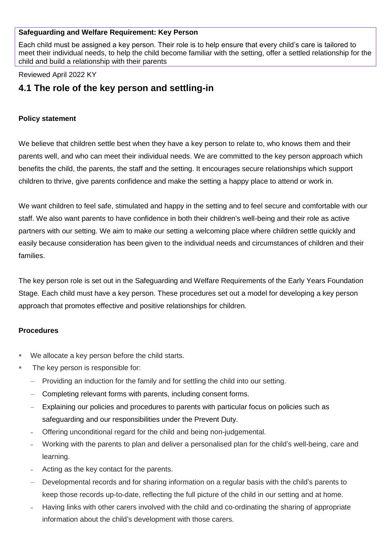## **Safeguarding and Welfare Requirement: Key Person**

Each child must be assigned a key person. Their role is to help ensure that every child's care is tailored to meet their individual needs, to help the child become familiar with the setting, offer a settled relationship for the child and build a relationship with their parents

#### Reviewed April 2022 KY

# **4.1 The role of the key person and settling-in**

## **Policy statement**

We believe that children settle best when they have a key person to relate to, who knows them and their parents well, and who can meet their individual needs. We are committed to the key person approach which benefits the child, the parents, the staff and the setting. It encourages secure relationships which support children to thrive, give parents confidence and make the setting a happy place to attend or work in.

We want children to feel safe, stimulated and happy in the setting and to feel secure and comfortable with our staff. We also want parents to have confidence in both their children's well-being and their role as active partners with our setting. We aim to make our setting a welcoming place where children settle quickly and easily because consideration has been given to the individual needs and circumstances of children and their families.

The key person role is set out in the Safeguarding and Welfare Requirements of the Early Years Foundation Stage. Each child must have a key person. These procedures set out a model for developing a key person approach that promotes effective and positive relationships for children.

#### **Procedures**

- We allocate a key person before the child starts.
- The key person is responsible for:
	- − Providing an induction for the family and for settling the child into our setting.
	- − Completing relevant forms with parents, including consent forms.
	- Explaining our policies and procedures to parents with particular focus on policies such as safeguarding and our responsibilities under the Prevent Duty.
	- ‒ Offering unconditional regard for the child and being non-judgemental.
	- ‒ Working with the parents to plan and deliver a personalised plan for the child's well-being, care and learning.
	- Acting as the key contact for the parents.
	- Developmental records and for sharing information on a regular basis with the child's parents to keep those records up-to-date, reflecting the full picture of the child in our setting and at home.
	- ‒ Having links with other carers involved with the child and co-ordinating the sharing of appropriate information about the child's development with those carers.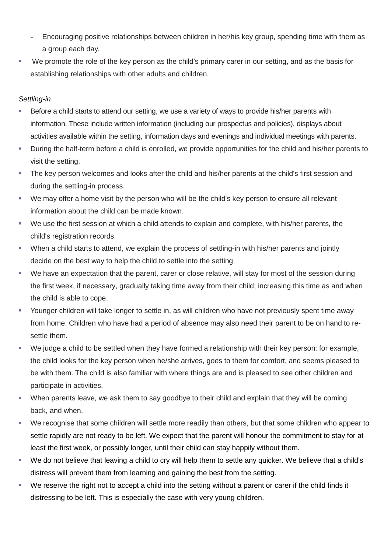- ‒ Encouraging positive relationships between children in her/his key group, spending time with them as a group each day.
- We promote the role of the key person as the child's primary carer in our setting, and as the basis for establishing relationships with other adults and children.

## *Settling-in*

- Before a child starts to attend our setting, we use a variety of ways to provide his/her parents with information. These include written information (including our prospectus and policies), displays about activities available within the setting, information days and evenings and individual meetings with parents.
- During the half-term before a child is enrolled, we provide opportunities for the child and his/her parents to visit the setting.
- **•** The key person welcomes and looks after the child and his/her parents at the child's first session and during the settling-in process.
- We may offer a home visit by the person who will be the child's key person to ensure all relevant information about the child can be made known.
- We use the first session at which a child attends to explain and complete, with his/her parents, the child's registration records.
- When a child starts to attend, we explain the process of settling-in with his/her parents and jointly decide on the best way to help the child to settle into the setting.
- We have an expectation that the parent, carer or close relative, will stay for most of the session during the first week, if necessary, gradually taking time away from their child; increasing this time as and when the child is able to cope.
- Younger children will take longer to settle in, as will children who have not previously spent time away from home. Children who have had a period of absence may also need their parent to be on hand to resettle them.
- We judge a child to be settled when they have formed a relationship with their key person; for example, the child looks for the key person when he/she arrives, goes to them for comfort, and seems pleased to be with them. The child is also familiar with where things are and is pleased to see other children and participate in activities.
- When parents leave, we ask them to say goodbye to their child and explain that they will be coming back, and when.
- We recognise that some children will settle more readily than others, but that some children who appear to settle rapidly are not ready to be left. We expect that the parent will honour the commitment to stay for at least the first week, or possibly longer, until their child can stay happily without them.
- We do not believe that leaving a child to cry will help them to settle any quicker. We believe that a child's distress will prevent them from learning and gaining the best from the setting.
- We reserve the right not to accept a child into the setting without a parent or carer if the child finds it distressing to be left. This is especially the case with very young children.